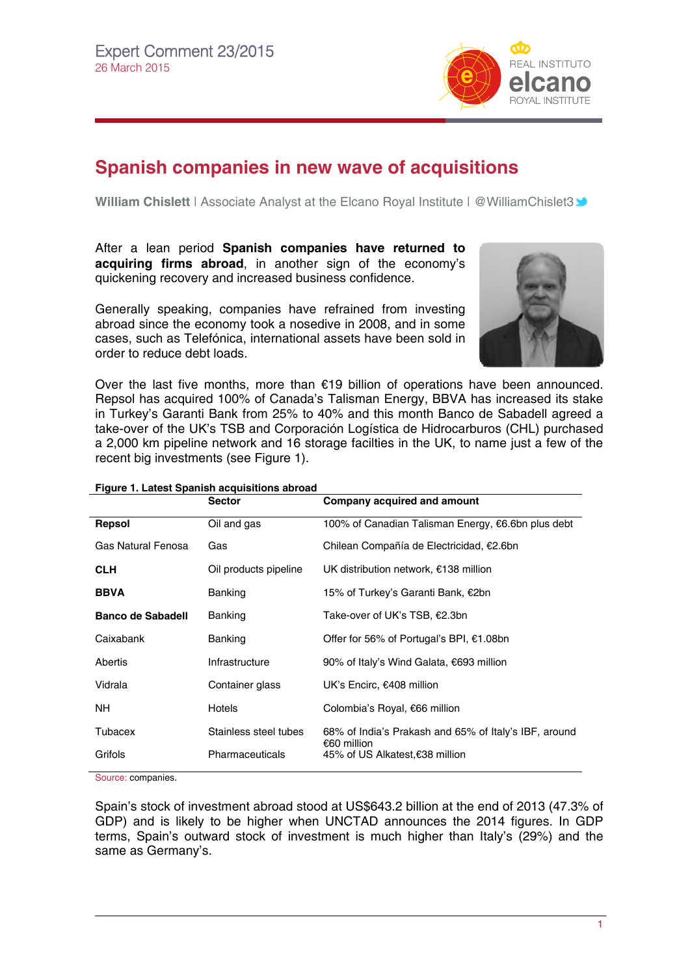

## **Spanish companies in new wave of acquisitions**

**William Chislett** | Associate Analyst at the Elcano Royal Institute | @WilliamChislet[3](http://twitter.com/rielcano) **▲** 

After a lean period **Spanish companies have returned to acquiring firms abroad**, in another sign of the economy's quickening recovery and increased business confidence.

Generally speaking, companies have refrained from investing abroad since the economy took a nosedive in 2008, and in some cases, such as Telefónica, international assets have been sold in order to reduce debt loads.



Over the last five months, more than €19 billion of operations have been announced. Repsol has acquired 100% of Canada's Talisman Energy, BBVA has increased its stake in Turkey's Garanti Bank from 25% to 40% and this month Banco de Sabadell agreed a take-over of the UK's TSB and Corporación Logística de Hidrocarburos (CHL) purchased a 2,000 km pipeline network and 16 storage facilties in the UK, to name just a few of the recent big investments (see Figure 1).

|                          | . .gu.c  Latoot Opanion acquionicno aproad<br><b>Sector</b> | Company acquired and amount                                                                            |  |
|--------------------------|-------------------------------------------------------------|--------------------------------------------------------------------------------------------------------|--|
| Repsol                   | Oil and gas                                                 | 100% of Canadian Talisman Energy, €6.6bn plus debt                                                     |  |
| Gas Natural Fenosa       | Gas                                                         | Chilean Compañía de Electricidad, €2.6bn                                                               |  |
| <b>CLH</b>               | Oil products pipeline                                       | UK distribution network, €138 million                                                                  |  |
| <b>BBVA</b>              | Banking                                                     | 15% of Turkey's Garanti Bank, €2bn                                                                     |  |
| <b>Banco de Sabadell</b> | Banking                                                     | Take-over of UK's TSB, €2.3bn                                                                          |  |
| Caixabank                | Banking                                                     | Offer for 56% of Portugal's BPI, €1.08bn                                                               |  |
| Abertis                  | Infrastructure                                              | 90% of Italy's Wind Galata, €693 million                                                               |  |
| Vidrala                  | Container glass                                             | UK's Encirc, $€408$ million                                                                            |  |
| NH.                      | Hotels                                                      | Colombia's Royal, €66 million                                                                          |  |
| Tubacex                  | Stainless steel tubes                                       | 68% of India's Prakash and 65% of Italy's IBF, around<br>€60 million<br>45% of US Alkatest,€38 million |  |
| Grifols                  | Pharmaceuticals                                             |                                                                                                        |  |

## **Figure 1. Latest Spanish acquisitions abroad**

Source: companies.

Spain's stock of investment abroad stood at US\$643.2 billion at the end of 2013 (47.3% of GDP) and is likely to be higher when UNCTAD announces the 2014 figures. In GDP terms, Spain's outward stock of investment is much higher than Italy's (29%) and the same as Germany's.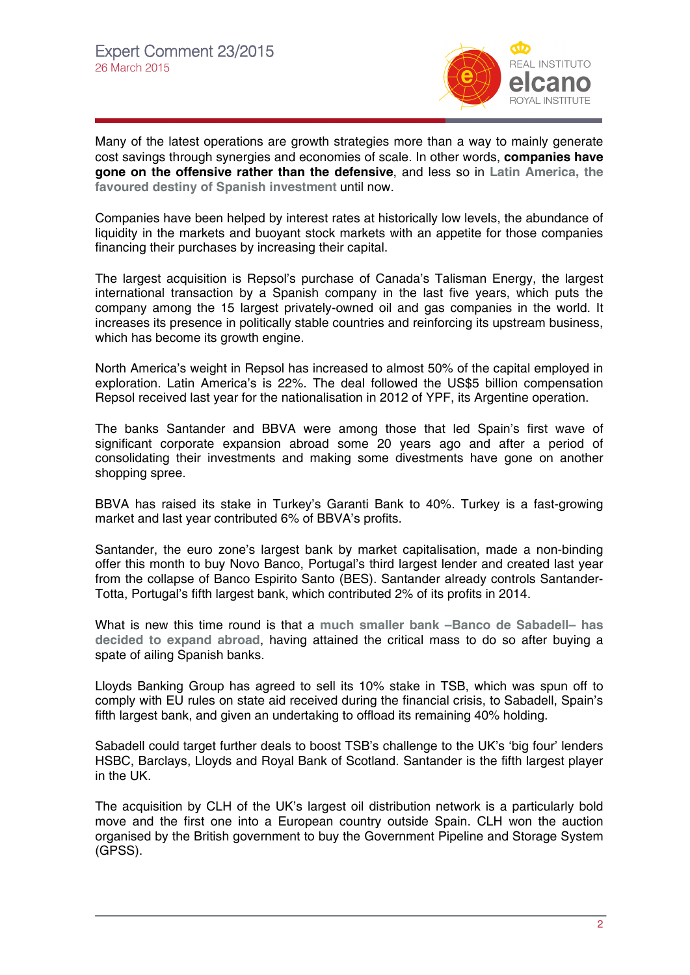

Many of the latest operations are growth strategies more than a way to mainly generate cost savings through synergies and economies of scale. In other words, **companies have gone on the offensive rather than the defensive**, and less so in **[Latin America, the](http://www.realinstitutoelcano.org/wps/portal/web/rielcano_en/publication?WCM_GLOBAL_CONTEXT=/elcano/elcano_in/publications/spanish+direct+investment+in+latin+america_+challenges+and+opportunities)  [favoured destiny of Spanish investment](http://www.realinstitutoelcano.org/wps/portal/web/rielcano_en/publication?WCM_GLOBAL_CONTEXT=/elcano/elcano_in/publications/spanish+direct+investment+in+latin+america_+challenges+and+opportunities)** until now.

Companies have been helped by interest rates at historically low levels, the abundance of liquidity in the markets and buoyant stock markets with an appetite for those companies financing their purchases by increasing their capital.

The largest acquisition is Repsol's purchase of Canada's Talisman Energy, the largest international transaction by a Spanish company in the last five years, which puts the company among the 15 largest privately-owned oil and gas companies in the world. It increases its presence in politically stable countries and reinforcing its upstream business, which has become its growth engine.

North America's weight in Repsol has increased to almost 50% of the capital employed in exploration. Latin America's is 22%. The deal followed the US\$5 billion compensation Repsol received last year for the nationalisation in 2012 of YPF, its Argentine operation.

The banks Santander and BBVA were among those that led Spain's first wave of significant corporate expansion abroad some 20 years ago and after a period of consolidating their investments and making some divestments have gone on another shopping spree.

BBVA has raised its stake in Turkey's Garanti Bank to 40%. Turkey is a fast-growing market and last year contributed 6% of BBVA's profits.

Santander, the euro zone's largest bank by market capitalisation, made a non-binding offer this month to buy Novo Banco, Portugal's third largest lender and created last year from the collapse of Banco Espirito Santo (BES). Santander already controls Santander-Totta, Portugal's fifth largest bank, which contributed 2% of its profits in 2014.

What is new this time round is that a **[much smaller bank –Banco de Sabadell– has](http://www.realinstitutoelcano.org/wps/portal/web/rielcano_en/contenido?WCM_GLOBAL_CONTEXT=/elcano/elcano_in/zonas_in/commentary-chislett-spanish-banks-internationalisation-sabadell-offers-to-buy-uks-tsb#.VRAquzTF-iY)  [decided to expand abroad](http://www.realinstitutoelcano.org/wps/portal/web/rielcano_en/contenido?WCM_GLOBAL_CONTEXT=/elcano/elcano_in/zonas_in/commentary-chislett-spanish-banks-internationalisation-sabadell-offers-to-buy-uks-tsb#.VRAquzTF-iY)**, having attained the critical mass to do so after buying a spate of ailing Spanish banks.

Lloyds Banking Group has agreed to sell its 10% stake in TSB, which was spun off to comply with EU rules on state aid received during the financial crisis, to Sabadell, Spain's fifth largest bank, and given an undertaking to offload its remaining 40% holding.

Sabadell could target further deals to boost TSB's challenge to the UK's 'big four' lenders HSBC, Barclays, Lloyds and Royal Bank of Scotland. Santander is the fifth largest player in the UK.

The acquisition by CLH of the UK's largest oil distribution network is a particularly bold move and the first one into a European country outside Spain. CLH won the auction organised by the British government to buy the Government Pipeline and Storage System (GPSS).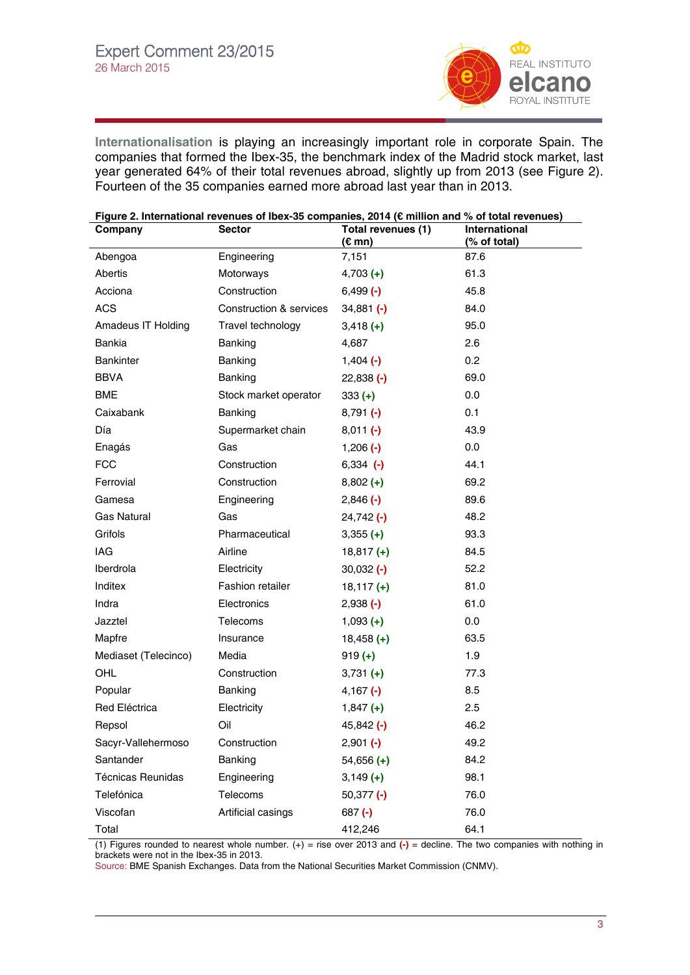

**[Internationalisation](http://www.realinstitutoelcano.org/wps/portal/web/rielcano_en/contenido?WCM_GLOBAL_CONTEXT=/elcano/elcano_in/zonas_in/international+economy/dt5-2013-arahuetes-steinberg-internacionalizacion-espana-internationalisation-spain-crisis)** is playing an increasingly important role in corporate Spain. The companies that formed the Ibex-35, the benchmark index of the Madrid stock market, last year generated 64% of their total revenues abroad, slightly up from 2013 (see Figure 2). Fourteen of the 35 companies earned more abroad last year than in 2013.

| Figure 2. International revenues of Ibex-35 companies, 2014 (€ million and % of total revenues) |                         |                                        |                                      |  |
|-------------------------------------------------------------------------------------------------|-------------------------|----------------------------------------|--------------------------------------|--|
| Company                                                                                         | <b>Sector</b>           | Total revenues (1)<br>$(E \text{ mn})$ | <b>International</b><br>(% of total) |  |
| Abengoa                                                                                         | Engineering             | 7,151                                  | 87.6                                 |  |
| Abertis                                                                                         | Motorways               | $4,703 (+)$                            | 61.3                                 |  |
| Acciona                                                                                         | Construction            | $6,499$ $(-)$                          | 45.8                                 |  |
| <b>ACS</b>                                                                                      | Construction & services | $34,881$ (-)                           | 84.0                                 |  |
| Amadeus IT Holding                                                                              | Travel technology       | $3,418 (+)$                            | 95.0                                 |  |
| Bankia                                                                                          | Banking                 | 4,687                                  | 2.6                                  |  |
| <b>Bankinter</b>                                                                                | Banking                 | $1,404$ $(-)$                          | 0.2                                  |  |
| <b>BBVA</b>                                                                                     | Banking                 | $22,838$ $(-)$                         | 69.0                                 |  |
| <b>BME</b>                                                                                      | Stock market operator   | $333 (+)$                              | 0.0                                  |  |
| Caixabank                                                                                       | Banking                 | $8,791$ (-)                            | 0.1                                  |  |
| Día                                                                                             | Supermarket chain       | $8,011$ (-)                            | 43.9                                 |  |
| Enagás                                                                                          | Gas                     | $1,206$ $(-)$                          | 0.0                                  |  |
| <b>FCC</b>                                                                                      | Construction            | $6,334$ $(-)$                          | 44.1                                 |  |
| Ferrovial                                                                                       | Construction            | $8,802 (+)$                            | 69.2                                 |  |
| Gamesa                                                                                          | Engineering             | $2,846$ (-)                            | 89.6                                 |  |
| <b>Gas Natural</b>                                                                              | Gas                     | $24,742$ $(-)$                         | 48.2                                 |  |
| Grifols                                                                                         | Pharmaceutical          | $3,355 (+)$                            | 93.3                                 |  |
| IAG                                                                                             | Airline                 | $18,817 (+)$                           | 84.5                                 |  |
| Iberdrola                                                                                       | Electricity             | $30,032$ $(-)$                         | 52.2                                 |  |
| Inditex                                                                                         | Fashion retailer        | $18,117(+)$                            | 81.0                                 |  |
| Indra                                                                                           | Electronics             | $2,938$ $(-)$                          | 61.0                                 |  |
| Jazztel                                                                                         | Telecoms                | $1,093$ (+)                            | 0.0                                  |  |
| Mapfre                                                                                          | Insurance               | $18,458$ (+)                           | 63.5                                 |  |
| Mediaset (Telecinco)                                                                            | Media                   | $919 (+)$                              | 1.9                                  |  |
| OHL                                                                                             | Construction            | $3,731 (+)$                            | 77.3                                 |  |
| Popular                                                                                         | Banking                 | 4,167 $(-)$                            | 8.5                                  |  |
| Red Eléctrica                                                                                   | Electricity             | $1,847 (+)$                            | 2.5                                  |  |
| Repsol                                                                                          | Oil                     | 45,842 (-)                             | 46.2                                 |  |
| Sacyr-Vallehermoso                                                                              | Construction            | $2,901$ (-)                            | 49.2                                 |  |
| Santander                                                                                       | Banking                 | $54,656$ (+)                           | 84.2                                 |  |
| <b>Técnicas Reunidas</b>                                                                        | Engineering             | $3,149 (+)$                            | 98.1                                 |  |
| Telefónica                                                                                      | Telecoms                | $50,377$ $(-)$                         | 76.0                                 |  |
| Viscofan                                                                                        | Artificial casings      | $687 (-)$                              | 76.0                                 |  |
| Total                                                                                           |                         | 412,246                                | 64.1                                 |  |

(1) Figures rounded to nearest whole number. (+) = rise over 2013 and **(-)** = decline. The two companies with nothing in brackets were not in the Ibex-35 in 2013.

Source: BME Spanish Exchanges. Data from the National Securities Market Commission (CNMV).